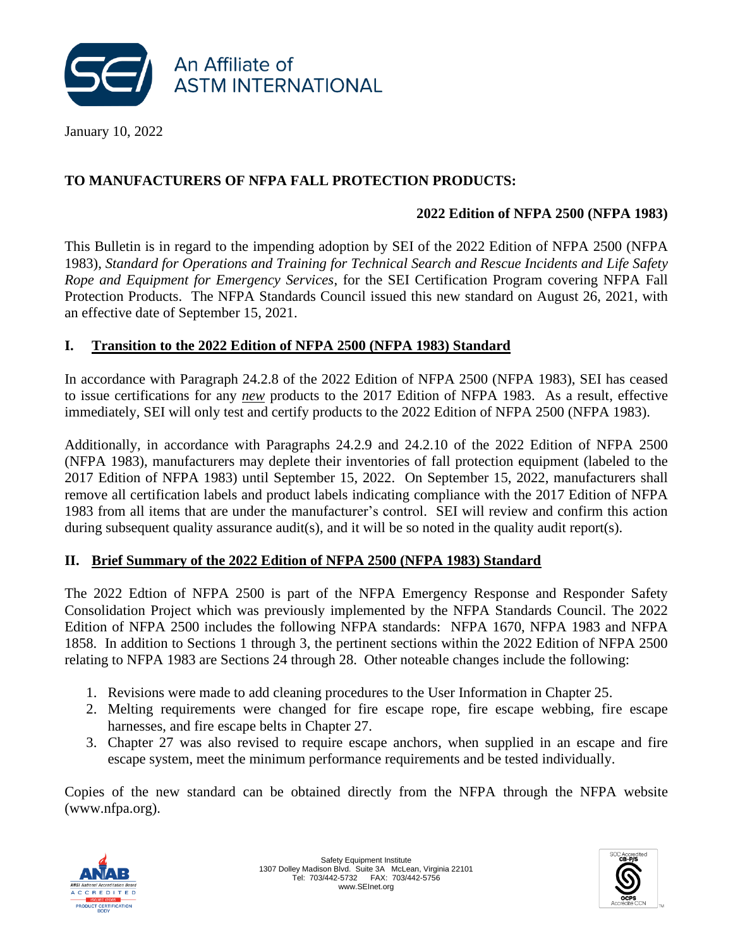

January 10, 2022

# **TO MANUFACTURERS OF NFPA FALL PROTECTION PRODUCTS:**

### **2022 Edition of NFPA 2500 (NFPA 1983)**

This Bulletin is in regard to the impending adoption by SEI of the 2022 Edition of NFPA 2500 (NFPA 1983), *Standard for Operations and Training for Technical Search and Rescue Incidents and Life Safety Rope and Equipment for Emergency Services*, for the SEI Certification Program covering NFPA Fall Protection Products. The NFPA Standards Council issued this new standard on August 26, 2021, with an effective date of September 15, 2021.

#### **I. Transition to the 2022 Edition of NFPA 2500 (NFPA 1983) Standard**

In accordance with Paragraph 24.2.8 of the 2022 Edition of NFPA 2500 (NFPA 1983), SEI has ceased to issue certifications for any *new* products to the 2017 Edition of NFPA 1983. As a result, effective immediately, SEI will only test and certify products to the 2022 Edition of NFPA 2500 (NFPA 1983).

Additionally, in accordance with Paragraphs 24.2.9 and 24.2.10 of the 2022 Edition of NFPA 2500 (NFPA 1983), manufacturers may deplete their inventories of fall protection equipment (labeled to the 2017 Edition of NFPA 1983) until September 15, 2022. On September 15, 2022, manufacturers shall remove all certification labels and product labels indicating compliance with the 2017 Edition of NFPA 1983 from all items that are under the manufacturer's control. SEI will review and confirm this action during subsequent quality assurance audit(s), and it will be so noted in the quality audit report(s).

## **II. Brief Summary of the 2022 Edition of NFPA 2500 (NFPA 1983) Standard**

The 2022 Edtion of NFPA 2500 is part of the NFPA Emergency Response and Responder Safety Consolidation Project which was previously implemented by the NFPA Standards Council. The 2022 Edition of NFPA 2500 includes the following NFPA standards: NFPA 1670, NFPA 1983 and NFPA 1858. In addition to Sections 1 through 3, the pertinent sections within the 2022 Edition of NFPA 2500 relating to NFPA 1983 are Sections 24 through 28. Other noteable changes include the following:

- 1. Revisions were made to add cleaning procedures to the User Information in Chapter 25.
- 2. Melting requirements were changed for fire escape rope, fire escape webbing, fire escape harnesses, and fire escape belts in Chapter 27.
- 3. Chapter 27 was also revised to require escape anchors, when supplied in an escape and fire escape system, meet the minimum performance requirements and be tested individually.

Copies of the new standard can be obtained directly from the NFPA through the NFPA website [\(www.nfpa.org\)](http://www.nfpa.org/).



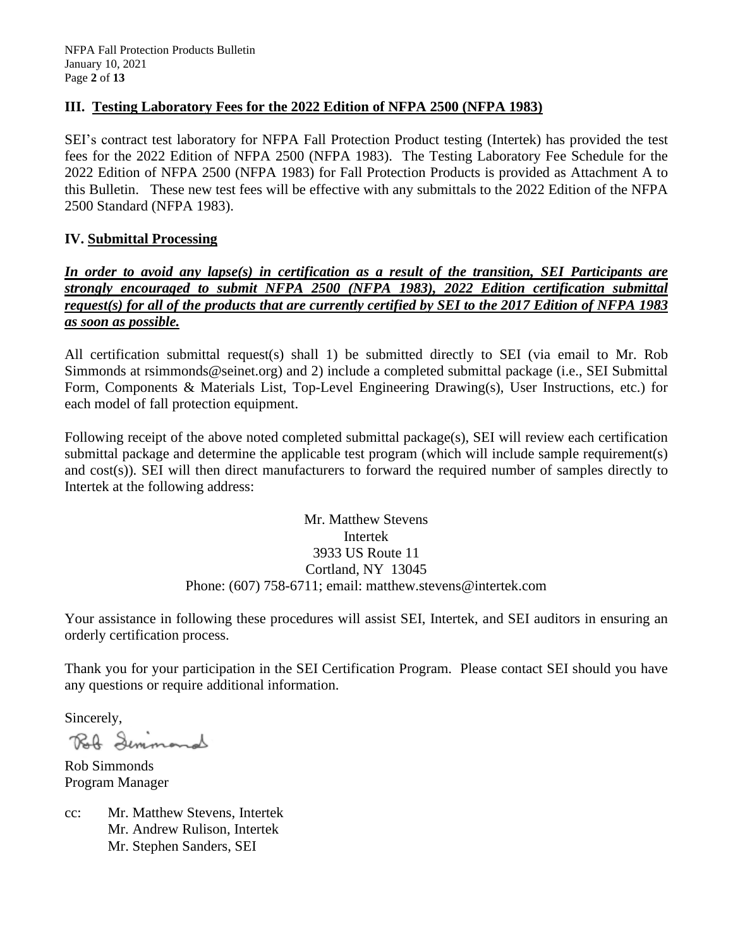#### **III. Testing Laboratory Fees for the 2022 Edition of NFPA 2500 (NFPA 1983)**

SEI's contract test laboratory for NFPA Fall Protection Product testing (Intertek) has provided the test fees for the 2022 Edition of NFPA 2500 (NFPA 1983). The Testing Laboratory Fee Schedule for the 2022 Edition of NFPA 2500 (NFPA 1983) for Fall Protection Products is provided as Attachment A to this Bulletin. These new test fees will be effective with any submittals to the 2022 Edition of the NFPA 2500 Standard (NFPA 1983).

#### **IV. Submittal Processing**

### *In order to avoid any lapse(s) in certification as a result of the transition, SEI Participants are strongly encouraged to submit NFPA 2500 (NFPA 1983), 2022 Edition certification submittal request(s) for all of the products that are currently certified by SEI to the 2017 Edition of NFPA 1983 as soon as possible.*

All certification submittal request(s) shall 1) be submitted directly to SEI (via email to Mr. Rob Simmonds at rsimmonds@seinet.org) and 2) include a completed submittal package (i.e., SEI Submittal Form, Components & Materials List, Top-Level Engineering Drawing(s), User Instructions, etc.) for each model of fall protection equipment.

Following receipt of the above noted completed submittal package(s), SEI will review each certification submittal package and determine the applicable test program (which will include sample requirement(s) and cost(s)). SEI will then direct manufacturers to forward the required number of samples directly to Intertek at the following address:

> Mr. Matthew Stevens Intertek 3933 US Route 11 Cortland, NY 13045 Phone: (607) 758-6711; email: matthew.stevens@intertek.com

Your assistance in following these procedures will assist SEI, Intertek, and SEI auditors in ensuring an orderly certification process.

Thank you for your participation in the SEI Certification Program. Please contact SEI should you have any questions or require additional information.

Sincerely,

Rolf Semmand

Rob Simmonds Program Manager

cc: Mr. Matthew Stevens, Intertek Mr. Andrew Rulison, Intertek Mr. Stephen Sanders, SEI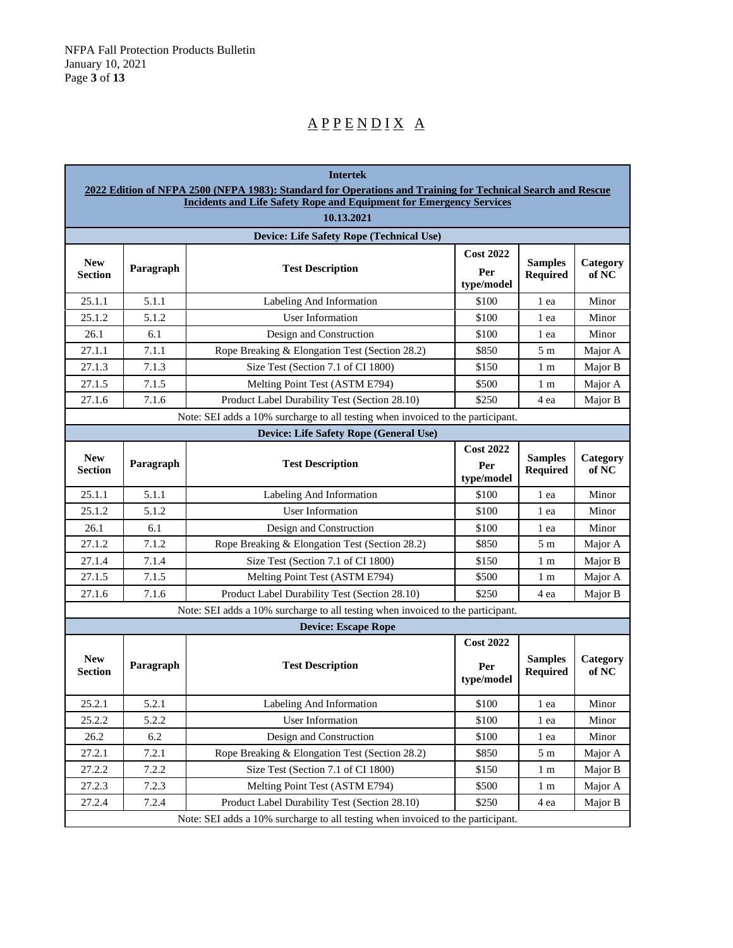# $\underline{A} \underline{P} \underline{P} \underline{E} \underline{N} \underline{D} \underline{I} \underline{X} \underline{A}$

|                                                                                 | <b>Intertek</b> |                                                                                                                                                                                           |                                       |                                   |                   |  |
|---------------------------------------------------------------------------------|-----------------|-------------------------------------------------------------------------------------------------------------------------------------------------------------------------------------------|---------------------------------------|-----------------------------------|-------------------|--|
|                                                                                 |                 | 2022 Edition of NFPA 2500 (NFPA 1983): Standard for Operations and Training for Technical Search and Rescue<br><b>Incidents and Life Safety Rope and Equipment for Emergency Services</b> |                                       |                                   |                   |  |
|                                                                                 |                 | 10.13.2021                                                                                                                                                                                |                                       |                                   |                   |  |
|                                                                                 |                 | Device: Life Safety Rope (Technical Use)                                                                                                                                                  |                                       |                                   |                   |  |
| <b>New</b><br><b>Section</b>                                                    | Paragraph       | <b>Test Description</b>                                                                                                                                                                   | <b>Cost 2022</b><br>Per<br>type/model | <b>Samples</b><br>Required        | Category<br>of NC |  |
| 25.1.1                                                                          | 5.1.1           | Labeling And Information                                                                                                                                                                  | \$100                                 | 1 ea                              | Minor             |  |
| 25.1.2                                                                          | 5.1.2           | <b>User Information</b>                                                                                                                                                                   | \$100                                 | 1 ea                              | Minor             |  |
| 26.1                                                                            | 6.1             | Design and Construction                                                                                                                                                                   | \$100                                 | 1 ea                              | Minor             |  |
| 27.1.1                                                                          | 7.1.1           | Rope Breaking & Elongation Test (Section 28.2)                                                                                                                                            | \$850                                 | 5 <sub>m</sub>                    | Major A           |  |
| 27.1.3                                                                          | 7.1.3           | Size Test (Section 7.1 of CI 1800)                                                                                                                                                        | \$150                                 | 1 m                               | Major B           |  |
| 27.1.5                                                                          | 7.1.5           | Melting Point Test (ASTM E794)                                                                                                                                                            | \$500                                 | 1 m                               | Major A           |  |
| 27.1.6                                                                          | 7.1.6           | Product Label Durability Test (Section 28.10)                                                                                                                                             | \$250                                 | 4 ea                              | Major B           |  |
|                                                                                 |                 | Note: SEI adds a 10% surcharge to all testing when invoiced to the participant.                                                                                                           |                                       |                                   |                   |  |
|                                                                                 |                 | Device: Life Safety Rope (General Use)                                                                                                                                                    |                                       |                                   |                   |  |
| <b>New</b><br>Section                                                           | Paragraph       | <b>Test Description</b>                                                                                                                                                                   | <b>Cost 2022</b><br>Per<br>type/model | <b>Samples</b><br><b>Required</b> | Category<br>of NC |  |
| 25.1.1                                                                          | 5.1.1           | Labeling And Information                                                                                                                                                                  | \$100                                 | 1 ea                              | Minor             |  |
| 25.1.2                                                                          | 5.1.2           | <b>User Information</b>                                                                                                                                                                   | \$100                                 | 1 ea                              | Minor             |  |
| 26.1                                                                            | 6.1             | Design and Construction                                                                                                                                                                   | \$100                                 | 1 ea                              | Minor             |  |
| 27.1.2                                                                          | 7.1.2           | Rope Breaking & Elongation Test (Section 28.2)                                                                                                                                            | \$850                                 | 5 <sub>m</sub>                    | Major A           |  |
| 27.1.4                                                                          | 7.1.4           | Size Test (Section 7.1 of CI 1800)                                                                                                                                                        | \$150                                 | 1 m                               | Major B           |  |
| 27.1.5                                                                          | 7.1.5           | Melting Point Test (ASTM E794)                                                                                                                                                            | \$500                                 | 1 m                               | Major A           |  |
| 27.1.6                                                                          | 7.1.6           | Product Label Durability Test (Section 28.10)                                                                                                                                             | \$250                                 | 4 ea                              | Major B           |  |
|                                                                                 |                 | Note: SEI adds a 10% surcharge to all testing when invoiced to the participant.                                                                                                           |                                       |                                   |                   |  |
|                                                                                 |                 | <b>Device: Escape Rope</b>                                                                                                                                                                |                                       |                                   |                   |  |
| <b>New</b><br><b>Section</b>                                                    | Paragraph       | <b>Test Description</b>                                                                                                                                                                   | <b>Cost 2022</b><br>Per<br>type/model | <b>Samples</b><br><b>Required</b> | Category<br>of NC |  |
| 25.2.1                                                                          | 5.2.1           | Labeling And Information                                                                                                                                                                  | \$100                                 | 1 ea                              | Minor             |  |
| 25.2.2                                                                          | 5.2.2           | User Information                                                                                                                                                                          | \$100                                 | 1 ea                              | Minor             |  |
| 26.2                                                                            | 6.2             | Design and Construction                                                                                                                                                                   | \$100                                 | 1 ea                              | Minor             |  |
| 27.2.1                                                                          | 7.2.1           | Rope Breaking & Elongation Test (Section 28.2)                                                                                                                                            | \$850                                 | 5m                                | Major A           |  |
| 27.2.2                                                                          | 7.2.2           | Size Test (Section 7.1 of CI 1800)                                                                                                                                                        | \$150                                 | 1 m                               | Major B           |  |
| 27.2.3                                                                          | 7.2.3           | Melting Point Test (ASTM E794)                                                                                                                                                            | \$500                                 | 1 <sub>m</sub>                    | Major A           |  |
| 27.2.4                                                                          | 7.2.4           | Product Label Durability Test (Section 28.10)                                                                                                                                             | \$250                                 | 4 ea                              | Major B           |  |
| Note: SEI adds a 10% surcharge to all testing when invoiced to the participant. |                 |                                                                                                                                                                                           |                                       |                                   |                   |  |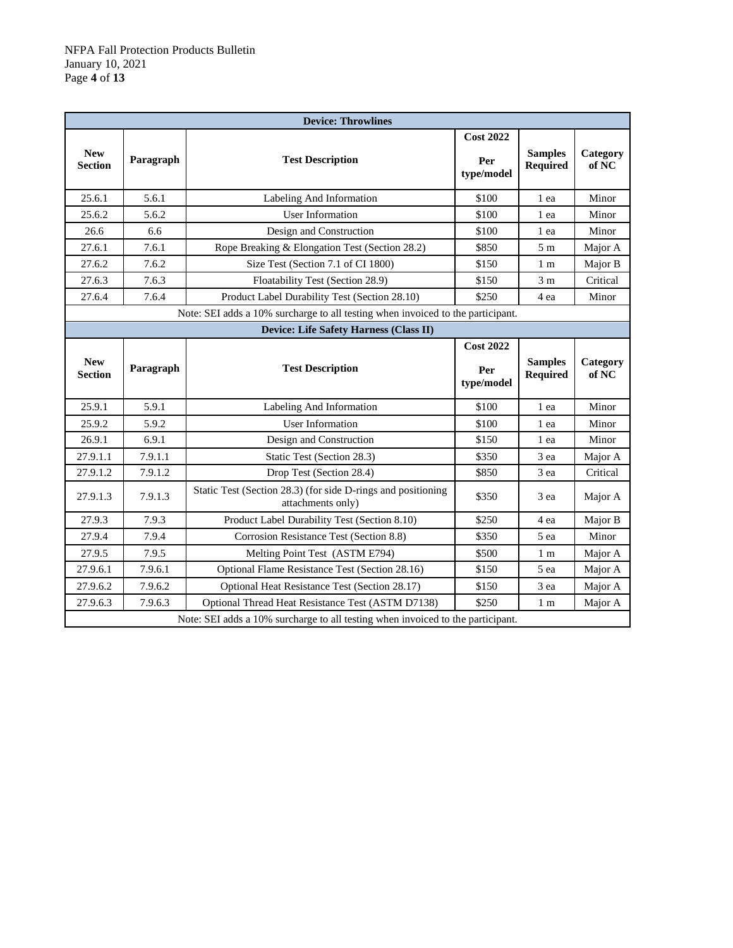| <b>Device: Throwlines</b>    |           |                                                                                   |                                       |                                   |                   |
|------------------------------|-----------|-----------------------------------------------------------------------------------|---------------------------------------|-----------------------------------|-------------------|
| <b>New</b><br><b>Section</b> | Paragraph | <b>Test Description</b>                                                           | <b>Cost 2022</b><br>Per<br>type/model | <b>Samples</b><br><b>Required</b> | Category<br>of NC |
| 25.6.1                       | 5.6.1     | Labeling And Information                                                          | \$100                                 | 1 ea                              | Minor             |
| 25.6.2                       | 5.6.2     | <b>User Information</b>                                                           | \$100                                 | 1 ea                              | Minor             |
| 26.6                         | 6.6       | Design and Construction                                                           | \$100                                 | 1 ea                              | Minor             |
| 27.6.1                       | 7.6.1     | Rope Breaking & Elongation Test (Section 28.2)                                    | \$850                                 | 5m                                | Major A           |
| 27.6.2                       | 7.6.2     | Size Test (Section 7.1 of CI 1800)                                                | \$150                                 | 1 <sub>m</sub>                    | Major B           |
| 27.6.3                       | 7.6.3     | Floatability Test (Section 28.9)                                                  | \$150                                 | 3 <sub>m</sub>                    | Critical          |
| 27.6.4                       | 7.6.4     | Product Label Durability Test (Section 28.10)                                     | \$250                                 | 4 ea                              | Minor             |
|                              |           | Note: SEI adds a 10% surcharge to all testing when invoiced to the participant.   |                                       |                                   |                   |
|                              |           | Device: Life Safety Harness (Class II)                                            |                                       |                                   |                   |
| <b>New</b><br><b>Section</b> | Paragraph | <b>Test Description</b>                                                           | <b>Cost 2022</b><br>Per<br>type/model | <b>Samples</b><br><b>Required</b> | Category<br>of NC |
| 25.9.1                       | 5.9.1     | Labeling And Information                                                          | \$100                                 | 1 ea                              | Minor             |
| 25.9.2                       | 5.9.2     | <b>User Information</b>                                                           | \$100                                 | 1 ea                              | Minor             |
| 26.9.1                       | 6.9.1     | Design and Construction                                                           | \$150                                 | 1 ea                              | Minor             |
| 27.9.1.1                     | 7.9.1.1   | Static Test (Section 28.3)                                                        | \$350                                 | 3 ea                              | Major A           |
| 27.9.1.2                     | 7.9.1.2   | Drop Test (Section 28.4)                                                          | \$850                                 | 3 ea                              | Critical          |
| 27.9.1.3                     | 7.9.1.3   | Static Test (Section 28.3) (for side D-rings and positioning<br>attachments only) | \$350                                 | 3 ea                              | Major A           |
| 27.9.3                       | 7.9.3     | Product Label Durability Test (Section 8.10)                                      | \$250                                 | 4 ea                              | Major B           |
| 27.9.4                       | 7.9.4     | Corrosion Resistance Test (Section 8.8)                                           | \$350                                 | 5 ea                              | Minor             |
| 27.9.5                       | 7.9.5     | Melting Point Test (ASTM E794)                                                    | \$500                                 | 1 <sub>m</sub>                    | Major A           |
| 27.9.6.1                     | 7.9.6.1   | Optional Flame Resistance Test (Section 28.16)                                    | \$150                                 | 5 ea                              | Major A           |
| 27.9.6.2                     | 7.9.6.2   | Optional Heat Resistance Test (Section 28.17)                                     | \$150                                 | 3 ea                              | Major A           |
| 27.9.6.3                     | 7.9.6.3   | Optional Thread Heat Resistance Test (ASTM D7138)                                 | \$250                                 | 1 <sub>m</sub>                    | Major A           |
|                              |           | Note: SEI adds a 10% surcharge to all testing when invoiced to the participant.   |                                       |                                   |                   |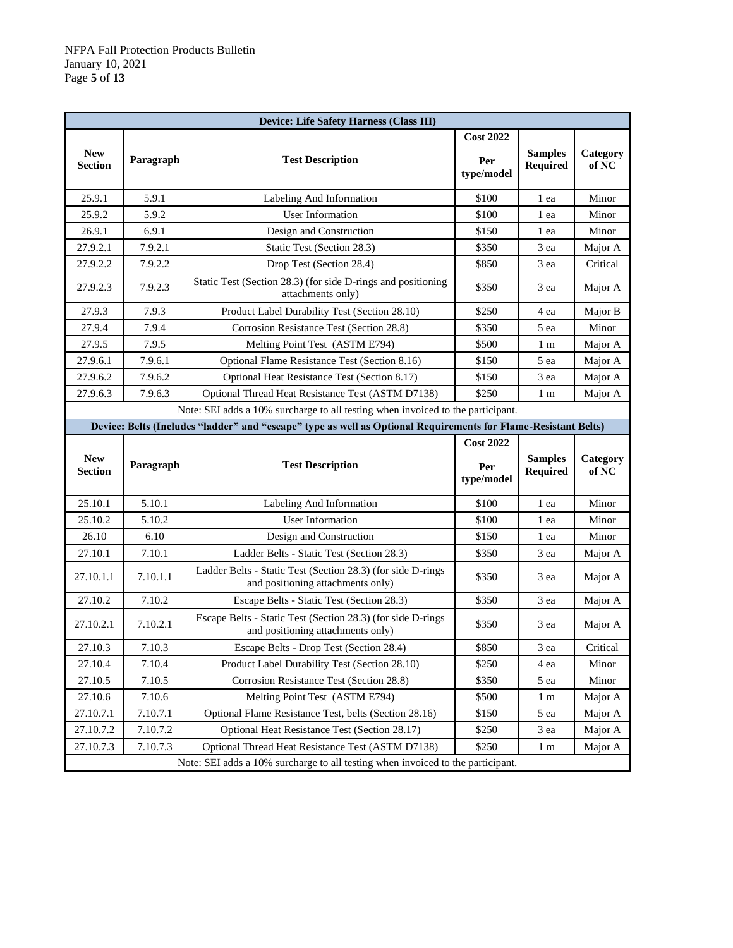| <b>Device: Life Safety Harness (Class III)</b> |                                                                                 |                                                                                                                |                                       |                                   |                   |  |  |
|------------------------------------------------|---------------------------------------------------------------------------------|----------------------------------------------------------------------------------------------------------------|---------------------------------------|-----------------------------------|-------------------|--|--|
| <b>New</b><br><b>Section</b>                   | Paragraph                                                                       | <b>Test Description</b>                                                                                        | <b>Cost 2022</b><br>Per<br>type/model | <b>Samples</b><br><b>Required</b> | Category<br>of NC |  |  |
| 25.9.1                                         | 5.9.1                                                                           | Labeling And Information                                                                                       | \$100                                 | 1 ea                              | Minor             |  |  |
| 25.9.2                                         | 5.9.2                                                                           | User Information                                                                                               | \$100                                 | 1 ea                              | Minor             |  |  |
| 26.9.1                                         | 6.9.1                                                                           | Design and Construction                                                                                        | \$150                                 | 1 ea                              | Minor             |  |  |
| 27.9.2.1                                       | 7.9.2.1                                                                         | Static Test (Section 28.3)                                                                                     | \$350                                 | 3 ea                              | Major A           |  |  |
| 27.9.2.2                                       | 7.9.2.2                                                                         | Drop Test (Section 28.4)                                                                                       | \$850                                 | 3 ea                              | Critical          |  |  |
| 27.9.2.3                                       | 7.9.2.3                                                                         | Static Test (Section 28.3) (for side D-rings and positioning<br>attachments only)                              | \$350                                 | 3 ea                              | Major A           |  |  |
| 27.9.3                                         | 7.9.3                                                                           | Product Label Durability Test (Section 28.10)                                                                  | \$250                                 | 4 ea                              | Major B           |  |  |
| 27.9.4                                         | 7.9.4                                                                           | Corrosion Resistance Test (Section 28.8)                                                                       | \$350                                 | 5 ea                              | Minor             |  |  |
| 27.9.5                                         | 7.9.5                                                                           | Melting Point Test (ASTM E794)                                                                                 | \$500                                 | 1 m                               | Major A           |  |  |
| 27.9.6.1                                       | 7.9.6.1                                                                         | Optional Flame Resistance Test (Section 8.16)                                                                  | \$150                                 | 5 ea                              | Major A           |  |  |
| 27.9.6.2                                       | 7.9.6.2                                                                         | Optional Heat Resistance Test (Section 8.17)                                                                   | \$150                                 | 3 ea                              | Major A           |  |  |
| 27.9.6.3                                       | 7.9.6.3                                                                         | Optional Thread Heat Resistance Test (ASTM D7138)                                                              | \$250                                 | 1 m                               | Major A           |  |  |
|                                                | Note: SEI adds a 10% surcharge to all testing when invoiced to the participant. |                                                                                                                |                                       |                                   |                   |  |  |
|                                                |                                                                                 | Device: Belts (Includes "ladder" and "escape" type as well as Optional Requirements for Flame-Resistant Belts) |                                       |                                   |                   |  |  |
|                                                |                                                                                 |                                                                                                                | <b>Cost 2022</b>                      |                                   |                   |  |  |
| <b>New</b><br><b>Section</b>                   | Paragraph                                                                       | <b>Test Description</b>                                                                                        | Per<br>type/model                     | <b>Samples</b><br><b>Required</b> | Category<br>of NC |  |  |
| 25.10.1                                        | 5.10.1                                                                          | Labeling And Information                                                                                       | \$100                                 | 1 ea                              | Minor             |  |  |
| 25.10.2                                        | 5.10.2                                                                          | <b>User Information</b>                                                                                        | \$100                                 | 1 ea                              | Minor             |  |  |
| 26.10                                          | 6.10                                                                            | Design and Construction                                                                                        | \$150                                 | 1 ea                              | Minor             |  |  |
| 27.10.1                                        | 7.10.1                                                                          | Ladder Belts - Static Test (Section 28.3)                                                                      | \$350                                 | 3 ea                              | Major A           |  |  |
| 27.10.1.1                                      | 7.10.1.1                                                                        | Ladder Belts - Static Test (Section 28.3) (for side D-rings<br>and positioning attachments only)               | \$350                                 | 3 ea                              | Major A           |  |  |
| 27.10.2                                        | 7.10.2                                                                          | Escape Belts - Static Test (Section 28.3)                                                                      | \$350                                 | 3 ea                              | Major A           |  |  |
| 27.10.2.1                                      | 7.10.2.1                                                                        | Escape Belts - Static Test (Section 28.3) (for side D-rings<br>and positioning attachments only)               | \$350                                 | 3 ea                              | Major A           |  |  |
| 27.10.3                                        | 7.10.3                                                                          | Escape Belts - Drop Test (Section 28.4)                                                                        | \$850                                 | 3 ea                              | Critical          |  |  |
| 27.10.4                                        | 7.10.4                                                                          | Product Label Durability Test (Section 28.10)                                                                  | \$250                                 | 4 ea                              | Minor             |  |  |
| 27.10.5                                        | 7.10.5                                                                          | Corrosion Resistance Test (Section 28.8)                                                                       | \$350                                 | 5 ea                              | Minor             |  |  |
| 27.10.6                                        | 7.10.6                                                                          | Melting Point Test (ASTM E794)                                                                                 | \$500                                 | 1 <sub>m</sub>                    | Major A           |  |  |
| 27.10.7.1                                      | 7.10.7.1                                                                        | Optional Flame Resistance Test, belts (Section 28.16)                                                          | \$150                                 | 5 ea                              | Major A           |  |  |
| 27.10.7.2                                      | 7.10.7.2                                                                        | Optional Heat Resistance Test (Section 28.17)                                                                  | \$250                                 | 3 ea                              | Major A           |  |  |
| 27.10.7.3                                      | 7.10.7.3                                                                        | Optional Thread Heat Resistance Test (ASTM D7138)                                                              | \$250                                 | 1 m                               | Major A           |  |  |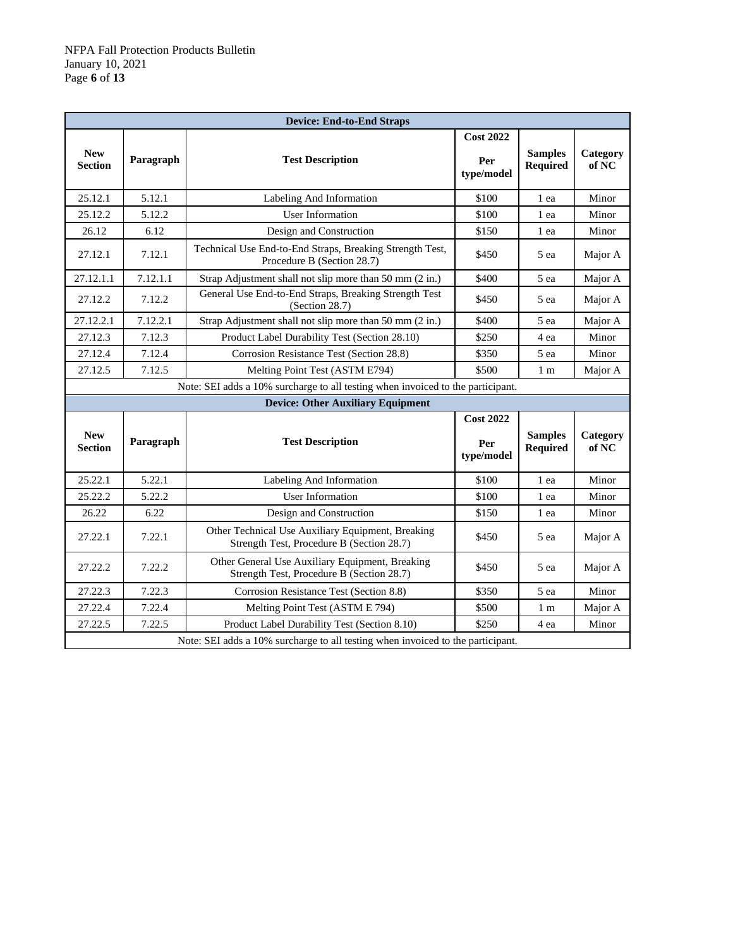| <b>Device: End-to-End Straps</b> |           |                                                                                                |                                       |                                   |                   |
|----------------------------------|-----------|------------------------------------------------------------------------------------------------|---------------------------------------|-----------------------------------|-------------------|
| <b>New</b><br><b>Section</b>     | Paragraph | <b>Test Description</b>                                                                        | <b>Cost 2022</b><br>Per<br>type/model | <b>Samples</b><br><b>Required</b> | Category<br>of NC |
| 25.12.1                          | 5.12.1    | Labeling And Information                                                                       | \$100                                 | 1 ea                              | Minor             |
| 25.12.2                          | 5.12.2    | <b>User Information</b>                                                                        | \$100                                 | 1 ea                              | Minor             |
| 26.12                            | 6.12      | Design and Construction                                                                        | \$150                                 | 1 ea                              | Minor             |
| 27.12.1                          | 7.12.1    | Technical Use End-to-End Straps, Breaking Strength Test,<br>Procedure B (Section 28.7)         | \$450                                 | 5 ea                              | Major A           |
| 27.12.1.1                        | 7.12.1.1  | Strap Adjustment shall not slip more than 50 mm (2 in.)                                        | \$400                                 | 5 ea                              | Major A           |
| 27.12.2                          | 7.12.2    | General Use End-to-End Straps, Breaking Strength Test<br>(Section $28.7$ )                     | \$450                                 | 5 ea                              | Major A           |
| 27.12.2.1                        | 7.12.2.1  | Strap Adjustment shall not slip more than 50 mm (2 in.)                                        | \$400                                 | 5 ea                              | Major A           |
| 27.12.3                          | 7.12.3    | Product Label Durability Test (Section 28.10)                                                  | \$250                                 | 4 ea                              | Minor             |
| 27.12.4                          | 7.12.4    | Corrosion Resistance Test (Section 28.8)                                                       | \$350                                 | 5 ea                              | Minor             |
| 27.12.5                          | 7.12.5    | Melting Point Test (ASTM E794)                                                                 | \$500                                 | 1 <sub>m</sub>                    | Major A           |
|                                  |           | Note: SEI adds a 10% surcharge to all testing when invoiced to the participant.                |                                       |                                   |                   |
|                                  |           | <b>Device: Other Auxiliary Equipment</b>                                                       |                                       |                                   |                   |
| <b>New</b><br><b>Section</b>     | Paragraph | <b>Test Description</b>                                                                        | <b>Cost 2022</b><br>Per<br>type/model | <b>Samples</b><br><b>Required</b> | Category<br>of NC |
| 25.22.1                          | 5.22.1    | Labeling And Information                                                                       | \$100                                 | 1 ea                              | Minor             |
| 25.22.2                          | 5.22.2    | <b>User Information</b>                                                                        | \$100                                 | 1 ea                              | Minor             |
| 26.22                            | 6.22      | Design and Construction                                                                        | \$150                                 | 1 ea                              | Minor             |
| 27.22.1                          | 7.22.1    | Other Technical Use Auxiliary Equipment, Breaking<br>Strength Test, Procedure B (Section 28.7) | \$450                                 | 5 ea                              | Major A           |
| 27.22.2                          | 7.22.2    | Other General Use Auxiliary Equipment, Breaking<br>Strength Test, Procedure B (Section 28.7)   | \$450                                 | 5 ea                              | Major A           |
| 27.22.3                          | 7.22.3    | Corrosion Resistance Test (Section 8.8)                                                        | \$350                                 | 5 ea                              | Minor             |
| 27.22.4                          | 7.22.4    | Melting Point Test (ASTM E 794)                                                                | \$500                                 | 1 <sub>m</sub>                    | Major A           |
| 27.22.5                          | 7.22.5    | Product Label Durability Test (Section 8.10)                                                   | \$250                                 | 4 ea                              | Minor             |
|                                  |           | Note: SEI adds a 10% surcharge to all testing when invoiced to the participant.                |                                       |                                   |                   |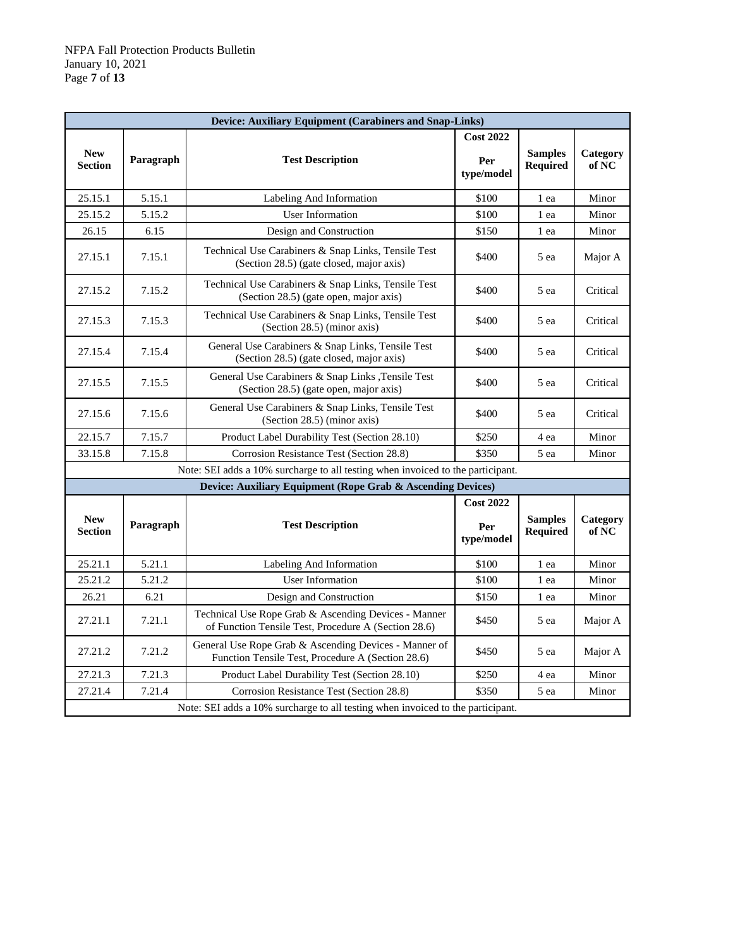| <b>Device: Auxiliary Equipment (Carabiners and Snap-Links)</b> |                                                                                 |                                                                                                              |                                       |                                   |                   |  |  |
|----------------------------------------------------------------|---------------------------------------------------------------------------------|--------------------------------------------------------------------------------------------------------------|---------------------------------------|-----------------------------------|-------------------|--|--|
| <b>New</b><br>Section                                          | Paragraph                                                                       | <b>Test Description</b>                                                                                      | <b>Cost 2022</b><br>Per<br>type/model | <b>Samples</b><br><b>Required</b> | Category<br>of NC |  |  |
| 25.15.1                                                        | 5.15.1                                                                          | Labeling And Information                                                                                     | \$100                                 | 1 ea                              | Minor             |  |  |
| 25.15.2                                                        | 5.15.2                                                                          | User Information                                                                                             | \$100                                 | 1 ea                              | Minor             |  |  |
| 26.15                                                          | 6.15                                                                            | Design and Construction                                                                                      | \$150                                 | 1 ea                              | Minor             |  |  |
| 27.15.1                                                        | 7.15.1                                                                          | Technical Use Carabiners & Snap Links, Tensile Test<br>(Section 28.5) (gate closed, major axis)              | \$400                                 | 5 ea                              | Major A           |  |  |
| 27.15.2                                                        | 7.15.2                                                                          | Technical Use Carabiners & Snap Links, Tensile Test<br>(Section 28.5) (gate open, major axis)                | \$400                                 | 5 ea                              | Critical          |  |  |
| 27.15.3                                                        | 7.15.3                                                                          | Technical Use Carabiners & Snap Links, Tensile Test<br>(Section 28.5) (minor axis)                           | \$400                                 | 5 ea                              | Critical          |  |  |
| 27.15.4                                                        | 7.15.4                                                                          | General Use Carabiners & Snap Links, Tensile Test<br>(Section 28.5) (gate closed, major axis)                | \$400                                 | 5 ea                              | Critical          |  |  |
| 27.15.5                                                        | 7.15.5                                                                          | General Use Carabiners & Snap Links, Tensile Test<br>(Section 28.5) (gate open, major axis)                  | \$400                                 | 5 ea                              | Critical          |  |  |
| 27.15.6                                                        | 7.15.6                                                                          | General Use Carabiners & Snap Links, Tensile Test<br>(Section 28.5) (minor axis)                             | \$400                                 | 5 ea                              | Critical          |  |  |
| 22.15.7                                                        | 7.15.7                                                                          | Product Label Durability Test (Section 28.10)                                                                | \$250                                 | 4 ea                              | Minor             |  |  |
| 33.15.8                                                        | 7.15.8                                                                          | Corrosion Resistance Test (Section 28.8)                                                                     | \$350                                 | 5 ea                              | Minor             |  |  |
|                                                                |                                                                                 | Note: SEI adds a 10% surcharge to all testing when invoiced to the participant.                              |                                       |                                   |                   |  |  |
|                                                                |                                                                                 | Device: Auxiliary Equipment (Rope Grab & Ascending Devices)                                                  |                                       |                                   |                   |  |  |
| <b>New</b><br><b>Section</b>                                   | Paragraph                                                                       | <b>Test Description</b>                                                                                      | <b>Cost 2022</b><br>Per<br>type/model | <b>Samples</b><br><b>Required</b> | Category<br>of NC |  |  |
| 25.21.1                                                        | 5.21.1                                                                          | Labeling And Information                                                                                     | \$100                                 | 1 ea                              | Minor             |  |  |
| 25.21.2                                                        | 5.21.2                                                                          | User Information                                                                                             | \$100                                 | 1 ea                              | Minor             |  |  |
| 26.21                                                          | 6.21                                                                            | Design and Construction                                                                                      | \$150                                 | 1 ea                              | Minor             |  |  |
| 27.21.1                                                        | 7.21.1                                                                          | Technical Use Rope Grab & Ascending Devices - Manner<br>of Function Tensile Test, Procedure A (Section 28.6) | \$450                                 | 5 ea                              | Major A           |  |  |
| 27.21.2                                                        | 7.21.2                                                                          | General Use Rope Grab & Ascending Devices - Manner of<br>Function Tensile Test, Procedure A (Section 28.6)   | \$450                                 | 5 ea                              | Major A           |  |  |
| 27.21.3                                                        | 7.21.3                                                                          | Product Label Durability Test (Section 28.10)                                                                | \$250                                 | 4 ea                              | Minor             |  |  |
| 27.21.4                                                        | 7.21.4                                                                          | Corrosion Resistance Test (Section 28.8)                                                                     | \$350                                 | 5 ea                              | Minor             |  |  |
|                                                                | Note: SEI adds a 10% surcharge to all testing when invoiced to the participant. |                                                                                                              |                                       |                                   |                   |  |  |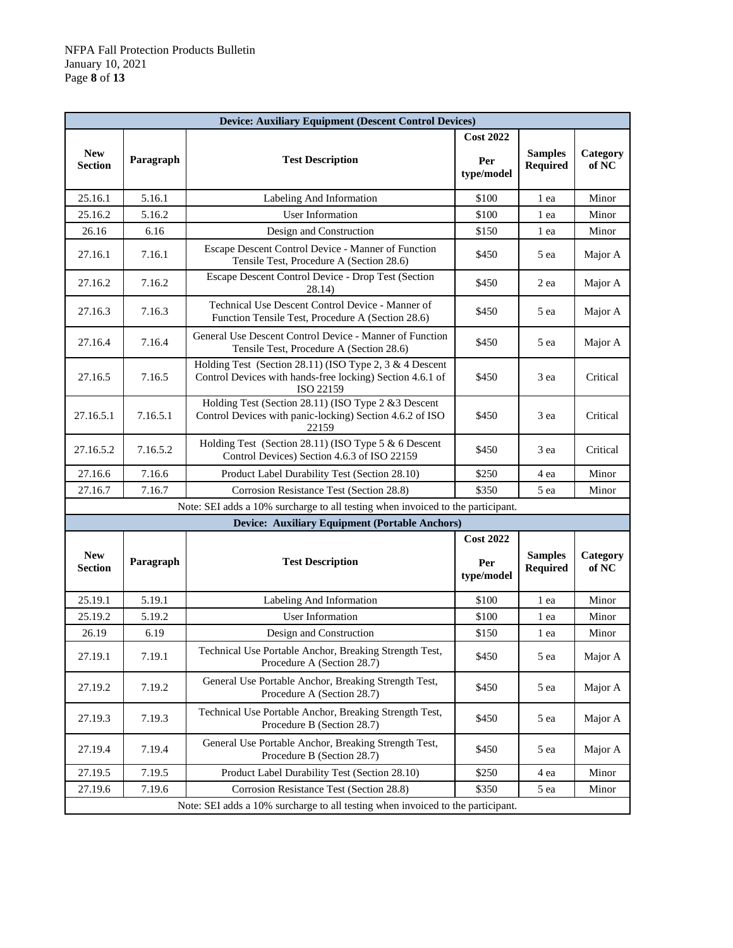| <b>Device: Auxiliary Equipment (Descent Control Devices)</b> |           |                                                                                                                                     |                                       |                                   |                   |  |
|--------------------------------------------------------------|-----------|-------------------------------------------------------------------------------------------------------------------------------------|---------------------------------------|-----------------------------------|-------------------|--|
| <b>New</b><br><b>Section</b>                                 | Paragraph | <b>Test Description</b>                                                                                                             | <b>Cost 2022</b><br>Per<br>type/model | <b>Samples</b><br><b>Required</b> | Category<br>of NC |  |
| 25.16.1                                                      | 5.16.1    | Labeling And Information                                                                                                            | \$100                                 | 1 ea                              | Minor             |  |
| 25.16.2                                                      | 5.16.2    | <b>User Information</b>                                                                                                             | \$100                                 | 1 ea                              | Minor             |  |
| 26.16                                                        | 6.16      | Design and Construction                                                                                                             | \$150                                 | 1 ea                              | Minor             |  |
| 27.16.1                                                      | 7.16.1    | Escape Descent Control Device - Manner of Function<br>Tensile Test, Procedure A (Section 28.6)                                      | \$450                                 | 5 ea                              | Major A           |  |
| 27.16.2                                                      | 7.16.2    | Escape Descent Control Device - Drop Test (Section<br>28.14)                                                                        | \$450                                 | 2 ea                              | Major A           |  |
| 27.16.3                                                      | 7.16.3    | Technical Use Descent Control Device - Manner of<br>Function Tensile Test, Procedure A (Section 28.6)                               | \$450                                 | 5 ea                              | Major A           |  |
| 27.16.4                                                      | 7.16.4    | General Use Descent Control Device - Manner of Function<br>Tensile Test, Procedure A (Section 28.6)                                 | \$450                                 | 5 ea                              | Major A           |  |
| 27.16.5                                                      | 7.16.5    | Holding Test (Section 28.11) (ISO Type 2, 3 $&$ 4 Descent<br>Control Devices with hands-free locking) Section 4.6.1 of<br>ISO 22159 | \$450                                 | 3 ea                              | Critical          |  |
| 27.16.5.1                                                    | 7.16.5.1  | Holding Test (Section 28.11) (ISO Type 2 & 3 Descent<br>Control Devices with panic-locking) Section 4.6.2 of ISO<br>22159           | \$450                                 | 3 ea                              | Critical          |  |
| 27.16.5.2                                                    | 7.16.5.2  | Holding Test (Section 28.11) (ISO Type 5 & 6 Descent<br>Control Devices) Section 4.6.3 of ISO 22159                                 | \$450                                 | 3 ea                              | Critical          |  |
| 27.16.6                                                      | 7.16.6    | Product Label Durability Test (Section 28.10)                                                                                       | \$250                                 | 4 ea                              | Minor             |  |
| 27.16.7                                                      | 7.16.7    | Corrosion Resistance Test (Section 28.8)                                                                                            | \$350                                 | 5 ea                              | Minor             |  |
|                                                              |           | Note: SEI adds a 10% surcharge to all testing when invoiced to the participant.                                                     |                                       |                                   |                   |  |
|                                                              |           | <b>Device: Auxiliary Equipment (Portable Anchors)</b>                                                                               |                                       |                                   |                   |  |
|                                                              |           |                                                                                                                                     | <b>Cost 2022</b>                      |                                   |                   |  |
| <b>New</b><br><b>Section</b>                                 | Paragraph | <b>Test Description</b>                                                                                                             | Per<br>type/model                     | <b>Samples</b><br><b>Required</b> | Category<br>of NC |  |
| 25.19.1                                                      | 5.19.1    | Labeling And Information                                                                                                            | \$100                                 | 1 ea                              | Minor             |  |
| 25.19.2                                                      | 5.19.2    | <b>User Information</b>                                                                                                             | \$100                                 | 1 ea                              | Minor             |  |
| 26.19                                                        | 6.19      | Design and Construction                                                                                                             | \$150                                 | 1 ea                              | Minor             |  |
| 27.19.1                                                      | 7.19.1    | Technical Use Portable Anchor, Breaking Strength Test,<br>Procedure A (Section 28.7)                                                | \$450                                 | 5 ea                              | Major A           |  |
| 27.19.2                                                      | 7.19.2    | General Use Portable Anchor, Breaking Strength Test,<br>Procedure A (Section 28.7)                                                  | \$450                                 | 5 ea                              | Major A           |  |
| 27.19.3                                                      | 7.19.3    | Technical Use Portable Anchor, Breaking Strength Test,<br>Procedure B (Section 28.7)                                                | \$450                                 | 5 ea                              | Major A           |  |
| 27.19.4                                                      | 7.19.4    | General Use Portable Anchor, Breaking Strength Test,<br>Procedure B (Section 28.7)                                                  | \$450                                 | 5 ea                              | Major A           |  |
| 27.19.5                                                      | 7.19.5    | Product Label Durability Test (Section 28.10)                                                                                       | \$250                                 | 4 ea                              | Minor             |  |
| 27.19.6                                                      | 7.19.6    | Corrosion Resistance Test (Section 28.8)                                                                                            | \$350                                 | 5 ea                              | Minor             |  |
|                                                              |           | Note: SEI adds a 10% surcharge to all testing when invoiced to the participant.                                                     |                                       |                                   |                   |  |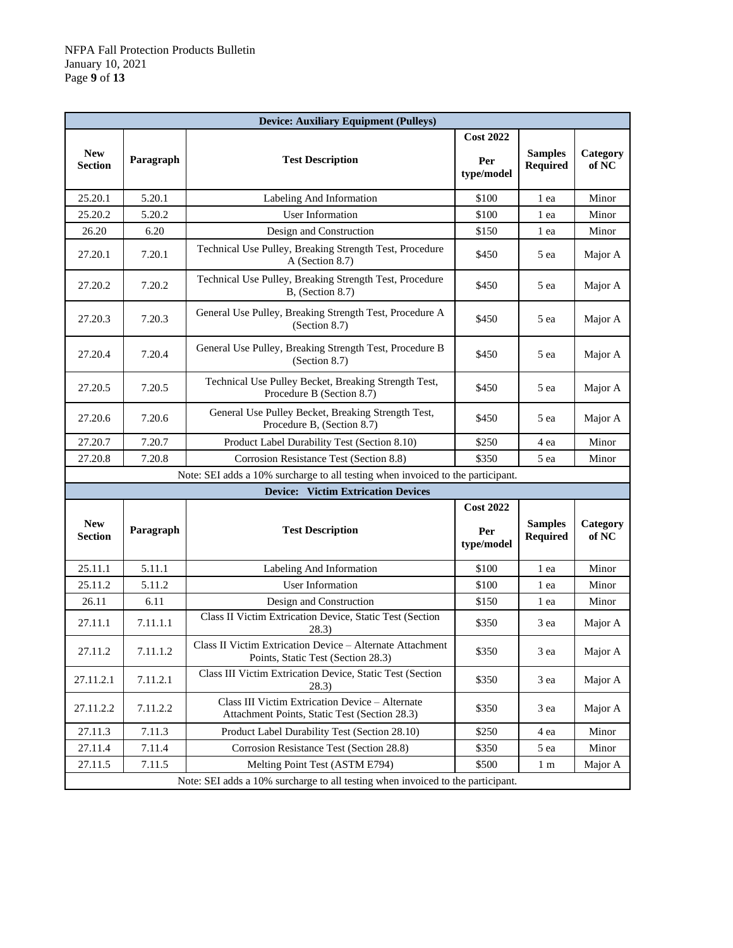| <b>Device: Auxiliary Equipment (Pulleys)</b> |           |                                                                                                  |                         |                                   |                   |  |
|----------------------------------------------|-----------|--------------------------------------------------------------------------------------------------|-------------------------|-----------------------------------|-------------------|--|
| <b>New</b><br><b>Section</b>                 | Paragraph | <b>Test Description</b>                                                                          | <b>Cost 2022</b><br>Per | <b>Samples</b>                    | Category          |  |
|                                              |           |                                                                                                  | type/model              | <b>Required</b>                   | of NC             |  |
| 25.20.1                                      | 5.20.1    | Labeling And Information                                                                         | \$100                   | 1 ea                              | Minor             |  |
| 25.20.2                                      | 5.20.2    | <b>User Information</b>                                                                          | \$100                   | 1 ea                              | Minor             |  |
| 26.20                                        | 6.20      | Design and Construction                                                                          | \$150                   | 1 ea                              | Minor             |  |
| 27.20.1                                      | 7.20.1    | Technical Use Pulley, Breaking Strength Test, Procedure<br>A (Section 8.7)                       | \$450                   | 5 ea                              | Major A           |  |
| 27.20.2                                      | 7.20.2    | Technical Use Pulley, Breaking Strength Test, Procedure<br>$B$ , (Section 8.7)                   | \$450                   | 5 ea                              | Major A           |  |
| 27.20.3                                      | 7.20.3    | General Use Pulley, Breaking Strength Test, Procedure A<br>(Section 8.7)                         | \$450                   | 5 ea                              | Major A           |  |
| 27.20.4                                      | 7.20.4    | General Use Pulley, Breaking Strength Test, Procedure B<br>(Section 8.7)                         | \$450                   | 5 ea                              | Major A           |  |
| 27.20.5                                      | 7.20.5    | Technical Use Pulley Becket, Breaking Strength Test,<br>Procedure B (Section 8.7)                | \$450                   | 5 ea                              | Major A           |  |
| 27.20.6                                      | 7.20.6    | General Use Pulley Becket, Breaking Strength Test,<br>Procedure B, (Section 8.7)                 | \$450                   | 5 ea                              | Major A           |  |
| 27.20.7                                      | 7.20.7    | Product Label Durability Test (Section 8.10)                                                     | \$250                   | 4 ea                              | Minor             |  |
| 27.20.8                                      | 7.20.8    | Corrosion Resistance Test (Section 8.8)                                                          | \$350                   | 5 ea                              | Minor             |  |
|                                              |           | Note: SEI adds a 10% surcharge to all testing when invoiced to the participant.                  |                         |                                   |                   |  |
|                                              |           | <b>Device: Victim Extrication Devices</b>                                                        |                         |                                   |                   |  |
|                                              |           |                                                                                                  | <b>Cost 2022</b>        |                                   |                   |  |
| <b>New</b><br><b>Section</b>                 | Paragraph | <b>Test Description</b>                                                                          | Per<br>type/model       | <b>Samples</b><br><b>Required</b> | Category<br>of NC |  |
| 25.11.1                                      | 5.11.1    | Labeling And Information                                                                         | \$100                   | 1 ea                              | Minor             |  |
| 25.11.2                                      | 5.11.2    | <b>User Information</b>                                                                          | \$100                   | 1 ea                              | Minor             |  |
| 26.11                                        | 6.11      | Design and Construction                                                                          | \$150                   | 1 ea                              | Minor             |  |
| 27.11.1                                      | 7.11.1.1  | Class II Victim Extrication Device, Static Test (Section<br>28.3)                                | \$350                   | 3 ea                              | Major A           |  |
| 27.11.2                                      | 7.11.1.2  | Class II Victim Extrication Device - Alternate Attachment<br>Points, Static Test (Section 28.3)  | \$350                   | 3 ea                              | Major A           |  |
| 27.11.2.1                                    | 7.11.2.1  | Class III Victim Extrication Device, Static Test (Section<br>28.3)                               | \$350                   | 3 ea                              | Major A           |  |
| 27.11.2.2                                    | 7.11.2.2  | Class III Victim Extrication Device - Alternate<br>Attachment Points, Static Test (Section 28.3) | \$350                   | 3 ea                              | Major A           |  |
| 27.11.3                                      | 7.11.3    | Product Label Durability Test (Section 28.10)                                                    | \$250                   | 4 ea                              | Minor             |  |
| 27.11.4                                      | 7.11.4    | Corrosion Resistance Test (Section 28.8)                                                         | \$350                   | 5 ea                              | Minor             |  |
| 27.11.5                                      | 7.11.5    | Melting Point Test (ASTM E794)                                                                   | \$500                   | 1 <sub>m</sub>                    | Major A           |  |
|                                              |           | Note: SEI adds a 10% surcharge to all testing when invoiced to the participant.                  |                         |                                   |                   |  |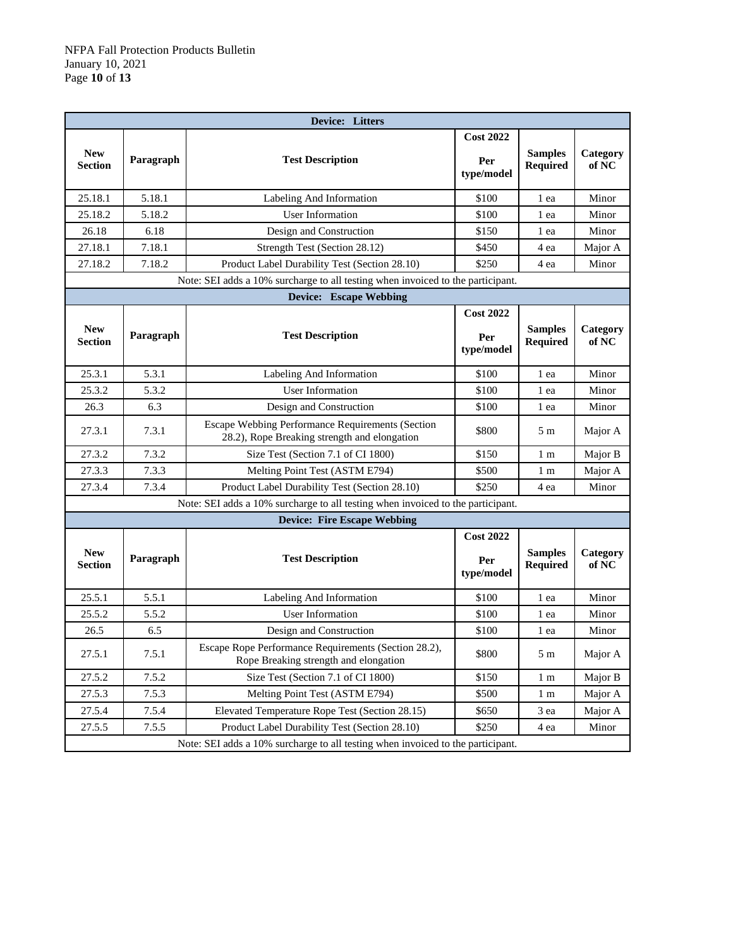|                                                                                 | Device: Litters |                                                                                                  |                                       |                                   |                   |  |  |
|---------------------------------------------------------------------------------|-----------------|--------------------------------------------------------------------------------------------------|---------------------------------------|-----------------------------------|-------------------|--|--|
| <b>New</b><br><b>Section</b>                                                    | Paragraph       | <b>Test Description</b>                                                                          | <b>Cost 2022</b><br>Per<br>type/model | <b>Samples</b><br><b>Required</b> | Category<br>of NC |  |  |
| 25.18.1                                                                         | 5.18.1          | Labeling And Information                                                                         | \$100                                 | 1 ea                              | Minor             |  |  |
| 25.18.2                                                                         | 5.18.2          | <b>User Information</b>                                                                          | \$100                                 | 1 ea                              | Minor             |  |  |
| 26.18                                                                           | 6.18            | Design and Construction                                                                          | \$150                                 | 1 ea                              | Minor             |  |  |
| 27.18.1                                                                         | 7.18.1          | Strength Test (Section 28.12)                                                                    | \$450                                 | 4 ea                              | Major A           |  |  |
| 27.18.2                                                                         | 7.18.2          | Product Label Durability Test (Section 28.10)                                                    | \$250                                 | 4 ea                              | Minor             |  |  |
|                                                                                 |                 | Note: SEI adds a 10% surcharge to all testing when invoiced to the participant.                  |                                       |                                   |                   |  |  |
|                                                                                 |                 | <b>Device:</b> Escape Webbing                                                                    |                                       |                                   |                   |  |  |
| <b>New</b><br><b>Section</b>                                                    | Paragraph       | <b>Test Description</b>                                                                          | <b>Cost 2022</b><br>Per<br>type/model | <b>Samples</b><br>Required        | Category<br>of NC |  |  |
| 25.3.1                                                                          | 5.3.1           | Labeling And Information                                                                         | \$100                                 | 1 ea                              | Minor             |  |  |
| 25.3.2                                                                          | 5.3.2           | <b>User Information</b>                                                                          | \$100                                 | 1 ea                              | Minor             |  |  |
| 26.3                                                                            | 6.3             | Design and Construction                                                                          | \$100                                 | 1 ea                              | Minor             |  |  |
| 27.3.1                                                                          | 7.3.1           | Escape Webbing Performance Requirements (Section<br>28.2), Rope Breaking strength and elongation | \$800                                 | 5 m                               | Major A           |  |  |
| 27.3.2                                                                          | 7.3.2           | Size Test (Section 7.1 of CI 1800)                                                               | \$150                                 | 1 m                               | Major B           |  |  |
| 27.3.3                                                                          | 7.3.3           | Melting Point Test (ASTM E794)                                                                   | \$500                                 | 1 <sub>m</sub>                    | Major A           |  |  |
| 27.3.4                                                                          | 7.3.4           | Product Label Durability Test (Section 28.10)                                                    | \$250                                 | 4 ea                              | Minor             |  |  |
|                                                                                 |                 | Note: SEI adds a 10% surcharge to all testing when invoiced to the participant.                  |                                       |                                   |                   |  |  |
|                                                                                 |                 | <b>Device: Fire Escape Webbing</b>                                                               |                                       |                                   |                   |  |  |
| <b>New</b><br><b>Section</b>                                                    | Paragraph       | <b>Test Description</b>                                                                          | <b>Cost 2022</b><br>Per<br>type/model | <b>Samples</b><br>Required        | Category<br>of NC |  |  |
| 25.5.1                                                                          | 5.5.1           | Labeling And Information                                                                         | \$100                                 | 1 ea                              | Minor             |  |  |
| 25.5.2                                                                          | 5.5.2           | <b>User Information</b>                                                                          | \$100                                 | 1 ea                              | Minor             |  |  |
| 26.5                                                                            | 6.5             | Design and Construction                                                                          | \$100                                 | 1 ea                              | Minor             |  |  |
| 27.5.1                                                                          | 7.5.1           | Escape Rope Performance Requirements (Section 28.2),<br>Rope Breaking strength and elongation    | \$800                                 | 5m                                | Major A           |  |  |
| 27.5.2                                                                          | 7.5.2           | Size Test (Section 7.1 of CI 1800)                                                               | \$150                                 | 1 <sub>m</sub>                    | Major B           |  |  |
| 27.5.3                                                                          | 7.5.3           | Melting Point Test (ASTM E794)                                                                   | \$500                                 | 1 <sub>m</sub>                    | Major A           |  |  |
| 27.5.4                                                                          | 7.5.4           | Elevated Temperature Rope Test (Section 28.15)                                                   | \$650                                 | 3 ea                              | Major A           |  |  |
| 27.5.5                                                                          | 7.5.5           | Product Label Durability Test (Section 28.10)                                                    | \$250                                 | 4 ea                              | Minor             |  |  |
| Note: SEI adds a 10% surcharge to all testing when invoiced to the participant. |                 |                                                                                                  |                                       |                                   |                   |  |  |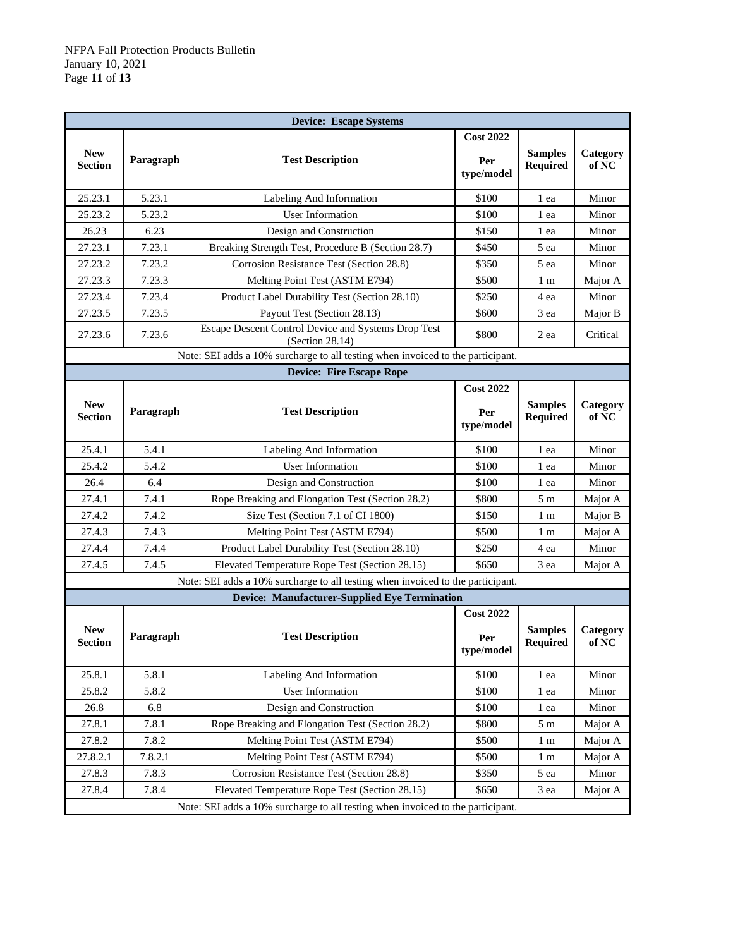| <b>Device: Escape Systems</b> |           |                                                                                 |                                       |                                   |                   |  |
|-------------------------------|-----------|---------------------------------------------------------------------------------|---------------------------------------|-----------------------------------|-------------------|--|
| <b>New</b><br><b>Section</b>  | Paragraph | <b>Test Description</b>                                                         | <b>Cost 2022</b><br>Per<br>type/model | <b>Samples</b><br>Required        | Category<br>of NC |  |
| 25.23.1                       | 5.23.1    | Labeling And Information                                                        | \$100                                 | 1 ea                              | Minor             |  |
| 25.23.2                       | 5.23.2    | <b>User Information</b>                                                         | \$100                                 | 1 ea                              | Minor             |  |
| 26.23                         | 6.23      | Design and Construction                                                         | \$150                                 | 1 ea                              | Minor             |  |
| 27.23.1                       | 7.23.1    | Breaking Strength Test, Procedure B (Section 28.7)                              | \$450                                 | 5 ea                              | Minor             |  |
| 27.23.2                       | 7.23.2    | Corrosion Resistance Test (Section 28.8)                                        | \$350                                 | 5 ea                              | Minor             |  |
| 27.23.3                       | 7.23.3    | Melting Point Test (ASTM E794)                                                  | \$500                                 | 1 m                               | Major A           |  |
| 27.23.4                       | 7.23.4    | Product Label Durability Test (Section 28.10)                                   | \$250                                 | 4 ea                              | Minor             |  |
| 27.23.5                       | 7.23.5    | Payout Test (Section 28.13)                                                     | \$600                                 | 3 ea                              | Major B           |  |
| 27.23.6                       | 7.23.6    | Escape Descent Control Device and Systems Drop Test<br>(Section 28.14)          | \$800                                 | 2 ea                              | Critical          |  |
|                               |           | Note: SEI adds a 10% surcharge to all testing when invoiced to the participant. |                                       |                                   |                   |  |
|                               |           | <b>Device: Fire Escape Rope</b>                                                 |                                       |                                   |                   |  |
| <b>New</b><br><b>Section</b>  | Paragraph | <b>Test Description</b>                                                         | <b>Cost 2022</b><br>Per<br>type/model | <b>Samples</b><br><b>Required</b> | Category<br>of NC |  |
| 25.4.1                        | 5.4.1     | Labeling And Information                                                        | \$100                                 | 1 ea                              | Minor             |  |
| 25.4.2                        | 5.4.2     | <b>User Information</b>                                                         | \$100                                 | 1 ea                              | Minor             |  |
| 26.4                          | 6.4       | Design and Construction                                                         | \$100                                 | 1 ea                              | Minor             |  |
| 27.4.1                        | 7.4.1     | Rope Breaking and Elongation Test (Section 28.2)                                | \$800                                 | 5 <sub>m</sub>                    | Major A           |  |
| 27.4.2                        | 7.4.2     | Size Test (Section 7.1 of CI 1800)                                              | \$150                                 | 1 m                               | Major B           |  |
| 27.4.3                        | 7.4.3     | Melting Point Test (ASTM E794)                                                  | \$500                                 | 1 m                               | Major A           |  |
| 27.4.4                        | 7.4.4     | Product Label Durability Test (Section 28.10)                                   | \$250                                 | 4 ea                              | Minor             |  |
| 27.4.5                        | 7.4.5     | Elevated Temperature Rope Test (Section 28.15)                                  | \$650                                 | 3 ea                              | Major A           |  |
|                               |           | Note: SEI adds a 10% surcharge to all testing when invoiced to the participant. |                                       |                                   |                   |  |
|                               |           | <b>Device: Manufacturer-Supplied Eye Termination</b>                            |                                       |                                   |                   |  |
| <b>New</b><br><b>Section</b>  | Paragraph | <b>Test Description</b>                                                         | <b>Cost 2022</b><br>Per<br>type/model | <b>Samples</b><br>Required        | Category<br>of NC |  |
| 25.8.1                        | 5.8.1     | Labeling And Information                                                        | \$100                                 | 1 ea                              | Minor             |  |
| 25.8.2                        | 5.8.2     | <b>User Information</b>                                                         | \$100                                 | 1 ea                              | Minor             |  |
| 26.8                          | 6.8       | Design and Construction                                                         | \$100                                 | 1 ea                              | Minor             |  |
| 27.8.1                        | 7.8.1     | Rope Breaking and Elongation Test (Section 28.2)                                | \$800                                 | 5 <sub>m</sub>                    | Major A           |  |
| 27.8.2                        | 7.8.2     | Melting Point Test (ASTM E794)                                                  | \$500                                 | 1 <sub>m</sub>                    | Major A           |  |
| 27.8.2.1                      | 7.8.2.1   | Melting Point Test (ASTM E794)                                                  | \$500                                 | 1 <sub>m</sub>                    | Major A           |  |
| 27.8.3                        | 7.8.3     | Corrosion Resistance Test (Section 28.8)                                        | \$350                                 | 5 ea                              | Minor             |  |
| 27.8.4                        | 7.8.4     | Elevated Temperature Rope Test (Section 28.15)                                  | \$650                                 | 3 ea                              | Major A           |  |
|                               |           | Note: SEI adds a 10% surcharge to all testing when invoiced to the participant. |                                       |                                   |                   |  |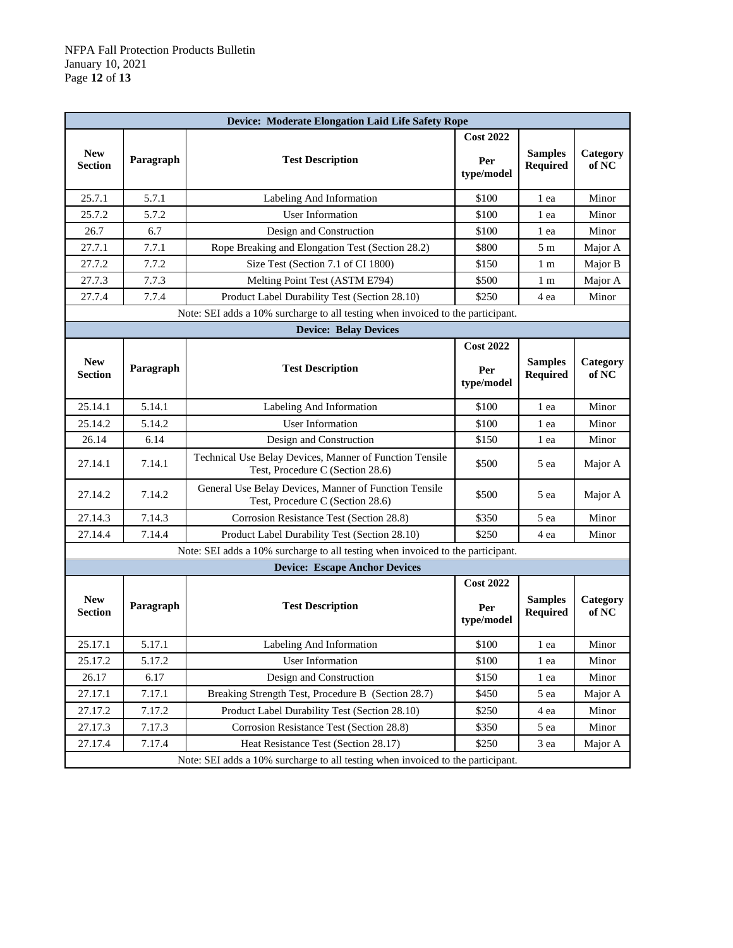| Device: Moderate Elongation Laid Life Safety Rope |                                                                                 |                                                                                             |                                       |                                   |                   |  |  |
|---------------------------------------------------|---------------------------------------------------------------------------------|---------------------------------------------------------------------------------------------|---------------------------------------|-----------------------------------|-------------------|--|--|
| <b>New</b><br><b>Section</b>                      | Paragraph                                                                       | <b>Test Description</b>                                                                     | <b>Cost 2022</b><br>Per<br>type/model | <b>Samples</b><br>Required        | Category<br>of NC |  |  |
| 25.7.1                                            | 5.7.1                                                                           | Labeling And Information                                                                    | \$100                                 | 1 ea                              | Minor             |  |  |
| 25.7.2                                            | 5.7.2                                                                           | <b>User Information</b>                                                                     | \$100                                 | 1 ea                              | Minor             |  |  |
| 26.7                                              | 6.7                                                                             | Design and Construction                                                                     | \$100                                 | 1 ea                              | Minor             |  |  |
| 27.7.1                                            | 7.7.1                                                                           | Rope Breaking and Elongation Test (Section 28.2)                                            | \$800                                 | 5 m                               | Major A           |  |  |
| 27.7.2                                            | 7.7.2                                                                           | Size Test (Section 7.1 of CI 1800)                                                          | \$150                                 | 1 m                               | Major B           |  |  |
| 27.7.3                                            | 7.7.3                                                                           | Melting Point Test (ASTM E794)                                                              | \$500                                 | 1 m                               | Major A           |  |  |
| 27.7.4                                            | 7.7.4                                                                           | Product Label Durability Test (Section 28.10)                                               | \$250                                 | 4 ea                              | Minor             |  |  |
|                                                   |                                                                                 | Note: SEI adds a 10% surcharge to all testing when invoiced to the participant.             |                                       |                                   |                   |  |  |
|                                                   |                                                                                 | <b>Device: Belay Devices</b>                                                                |                                       |                                   |                   |  |  |
|                                                   |                                                                                 |                                                                                             | <b>Cost 2022</b>                      |                                   |                   |  |  |
| <b>New</b><br>Section                             | Paragraph                                                                       | <b>Test Description</b>                                                                     | Per<br>type/model                     | <b>Samples</b><br><b>Required</b> | Category<br>of NC |  |  |
| 25.14.1                                           | 5.14.1                                                                          | Labeling And Information                                                                    | \$100                                 | 1 ea                              | Minor             |  |  |
| 25.14.2                                           | 5.14.2                                                                          | <b>User Information</b>                                                                     | \$100                                 | 1 ea                              | Minor             |  |  |
| 26.14                                             | 6.14                                                                            | Design and Construction                                                                     | \$150                                 | 1 ea                              | Minor             |  |  |
| 27.14.1                                           | 7.14.1                                                                          | Technical Use Belay Devices, Manner of Function Tensile<br>Test, Procedure C (Section 28.6) | \$500                                 | 5 ea                              | Major A           |  |  |
| 27.14.2                                           | 7.14.2                                                                          | General Use Belay Devices, Manner of Function Tensile<br>Test, Procedure C (Section 28.6)   | \$500                                 | 5 ea                              | Major A           |  |  |
| 27.14.3                                           | 7.14.3                                                                          | Corrosion Resistance Test (Section 28.8)                                                    | \$350                                 | 5 ea                              | Minor             |  |  |
| 27.14.4                                           | 7.14.4                                                                          | Product Label Durability Test (Section 28.10)                                               | \$250                                 | 4 ea                              | Minor             |  |  |
|                                                   |                                                                                 | Note: SEI adds a 10% surcharge to all testing when invoiced to the participant.             |                                       |                                   |                   |  |  |
|                                                   |                                                                                 | <b>Device: Escape Anchor Devices</b>                                                        |                                       |                                   |                   |  |  |
| <b>New</b><br><b>Section</b>                      | Paragraph                                                                       | <b>Test Description</b>                                                                     | <b>Cost 2022</b><br>Per<br>type/model | <b>Samples</b><br><b>Required</b> | Category<br>of NC |  |  |
| 25.17.1                                           | 5.17.1                                                                          | Labeling And Information                                                                    | \$100                                 | 1 ea                              | Minor             |  |  |
| 25.17.2                                           | 5.17.2                                                                          | User Information                                                                            | \$100                                 | 1 ea                              | Minor             |  |  |
| 26.17                                             | 6.17                                                                            | Design and Construction                                                                     | \$150                                 | 1 ea                              | Minor             |  |  |
| 27.17.1                                           | 7.17.1                                                                          | Breaking Strength Test, Procedure B (Section 28.7)                                          | \$450                                 | 5 ea                              | Major A           |  |  |
| 27.17.2                                           | 7.17.2                                                                          | Product Label Durability Test (Section 28.10)                                               | \$250                                 | 4 ea                              | Minor             |  |  |
| 27.17.3                                           | 7.17.3                                                                          | Corrosion Resistance Test (Section 28.8)                                                    | \$350                                 | 5 ea                              | Minor             |  |  |
| 27.17.4                                           | 7.17.4                                                                          | Heat Resistance Test (Section 28.17)                                                        | \$250                                 | 3 ea                              | Major A           |  |  |
|                                                   | Note: SEI adds a 10% surcharge to all testing when invoiced to the participant. |                                                                                             |                                       |                                   |                   |  |  |